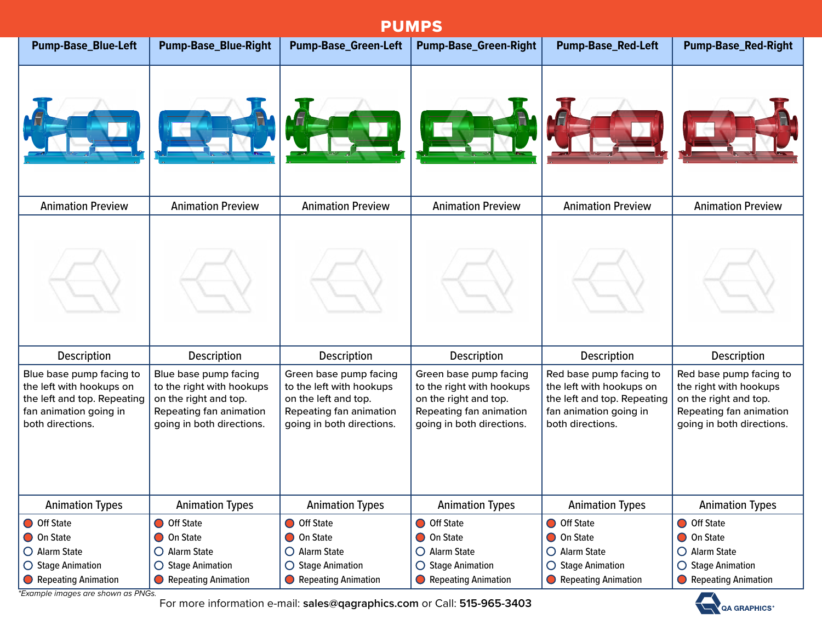## Animation Preview | Animation Preview | Animation Preview | Animation Preview | Animation Preview | Animation Preview Description Description Description Description Description Description PUMPS Red base pump facing to the right with hookups on the right and top. Red base pump facing to the left with hookups on the left and top. Repeating Green base pump facing to the right with hookups on the right and top. Green base pump facing to the left with hookups on the left and top. Blue base pump facing to the right with hookups on the right and top. Blue base pump facing to the left with hookups on the left and top. Repeating **Pump-Base\_Blue-Left Pump-Base\_Blue-Right Pump-Base\_Green-Left Pump-Base\_Green-Right Pump-Base\_Red-Left Pump-Base\_Red-Right**

| both directions.                       | going in both directions.  | going in both directions.  | going in both directions.  | both directions.           | going in both directions.  |  |  |
|----------------------------------------|----------------------------|----------------------------|----------------------------|----------------------------|----------------------------|--|--|
|                                        |                            |                            |                            |                            |                            |  |  |
|                                        |                            |                            |                            |                            |                            |  |  |
|                                        |                            |                            |                            |                            |                            |  |  |
|                                        |                            |                            |                            |                            |                            |  |  |
|                                        |                            |                            |                            |                            |                            |  |  |
| <b>Animation Types</b>                 | <b>Animation Types</b>     | <b>Animation Types</b>     | <b>Animation Types</b>     | <b>Animation Types</b>     | <b>Animation Types</b>     |  |  |
| <b>O</b> Off State                     | Off State                  | Off State                  | <b>O</b> Off State         | O Off State                | <b>O</b> Off State         |  |  |
| O On State                             | On State                   | On State                   | <b>O</b> On State          | O On State                 | <b>O</b> On State          |  |  |
| O Alarm State                          | $\bigcirc$ Alarm State     | $\bigcirc$ Alarm State     | $\bigcirc$ Alarm State     | $\bigcirc$ Alarm State     | $\bigcirc$ Alarm State     |  |  |
| $\bigcirc$ Stage Animation             | $\bigcirc$ Stage Animation | $\bigcirc$ Stage Animation | $\bigcirc$ Stage Animation | $\bigcirc$ Stage Animation | $\bigcirc$ Stage Animation |  |  |
| Repeating Animation                    | Repeating Animation        | Repeating Animation        | Repeating Animation        | Repeating Animation        | Repeating Animation        |  |  |
| $*Fvambelq$ images are shown as $DMCq$ |                            |                            |                            |                            |                            |  |  |

Repeating fan animation

*\*Example images are shown as PNGs.*

fan animation going in

For more information e-mail: **sales@qagraphics.com** or Call: **515-965-3403**

Repeating fan animation

Repeating fan animation



Repeating fan animation

fan animation going in